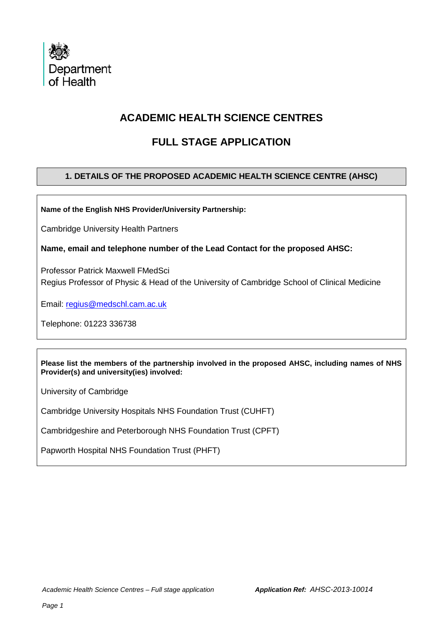

# **ACADEMIC HEALTH SCIENCE CENTRES**

# **FULL STAGE APPLICATION**

## **1. DETAILS OF THE PROPOSED ACADEMIC HEALTH SCIENCE CENTRE (AHSC)**

**Name of the English NHS Provider/University Partnership:**

Cambridge University Health Partners

**Name, email and telephone number of the Lead Contact for the proposed AHSC:**

Professor Patrick Maxwell FMedSci Regius Professor of Physic & Head of the University of Cambridge School of Clinical Medicine

Email: [regius@medschl.cam.ac.uk](mailto:regius@medschl.cam.ac.uk)

Telephone: 01223 336738

**Please list the members of the partnership involved in the proposed AHSC, including names of NHS Provider(s) and university(ies) involved:**

University of Cambridge

Cambridge University Hospitals NHS Foundation Trust (CUHFT)

Cambridgeshire and Peterborough NHS Foundation Trust (CPFT)

Papworth Hospital NHS Foundation Trust (PHFT)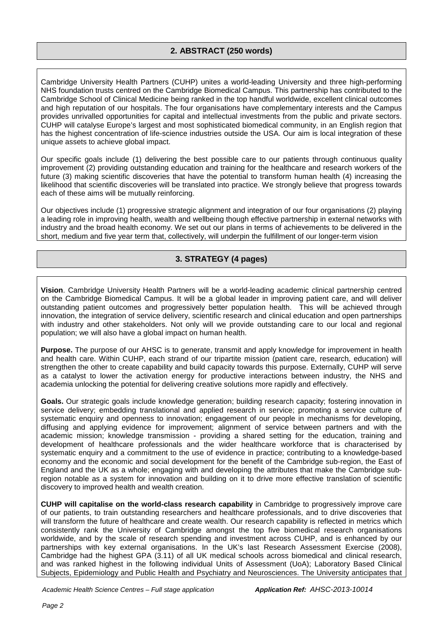### **2. ABSTRACT (250 words)**

Cambridge University Health Partners (CUHP) unites a world-leading University and three high-performing NHS foundation trusts centred on the Cambridge Biomedical Campus. This partnership has contributed to the Cambridge School of Clinical Medicine being ranked in the top handful worldwide, excellent clinical outcomes and high reputation of our hospitals. The four organisations have complementary interests and the Campus provides unrivalled opportunities for capital and intellectual investments from the public and private sectors. CUHP will catalyse Europe's largest and most sophisticated biomedical community, in an English region that has the highest concentration of life-science industries outside the USA. Our aim is local integration of these unique assets to achieve global impact.

Our specific goals include (1) delivering the best possible care to our patients through continuous quality improvement (2) providing outstanding education and training for the healthcare and research workers of the future (3) making scientific discoveries that have the potential to transform human health (4) increasing the likelihood that scientific discoveries will be translated into practice. We strongly believe that progress towards each of these aims will be mutually reinforcing.

Our objectives include (1) progressive strategic alignment and integration of our four organisations (2) playing a leading role in improving health, wealth and wellbeing though effective partnership in external networks with industry and the broad health economy. We set out our plans in terms of achievements to be delivered in the short, medium and five year term that, collectively, will underpin the fulfillment of our longer-term vision

### **3. STRATEGY (4 pages)**

**Vision**. Cambridge University Health Partners will be a world-leading academic clinical partnership centred on the Cambridge Biomedical Campus. It will be a global leader in improving patient care, and will deliver outstanding patient outcomes and progressively better population health. This will be achieved through innovation, the integration of service delivery, scientific research and clinical education and open partnerships with industry and other stakeholders. Not only will we provide outstanding care to our local and regional population; we will also have a global impact on human health.

**Purpose.** The purpose of our AHSC is to generate, transmit and apply knowledge for improvement in health and health care. Within CUHP, each strand of our tripartite mission (patient care, research, education) will strengthen the other to create capability and build capacity towards this purpose. Externally, CUHP will serve as a catalyst to lower the activation energy for productive interactions between industry, the NHS and academia unlocking the potential for delivering creative solutions more rapidly and effectively.

**Goals.** Our strategic goals include knowledge generation; building research capacity; fostering innovation in service delivery; embedding translational and applied research in service; promoting a service culture of systematic enquiry and openness to innovation; engagement of our people in mechanisms for developing, diffusing and applying evidence for improvement; alignment of service between partners and with the academic mission; knowledge transmission - providing a shared setting for the education, training and development of healthcare professionals and the wider healthcare workforce that is characterised by systematic enquiry and a commitment to the use of evidence in practice; contributing to a knowledge-based economy and the economic and social development for the benefit of the Cambridge sub-region, the East of England and the UK as a whole; engaging with and developing the attributes that make the Cambridge subregion notable as a system for innovation and building on it to drive more effective translation of scientific discovery to improved health and wealth creation.

**CUHP will capitalise on the world-class research capability** in Cambridge to progressively improve care of our patients, to train outstanding researchers and healthcare professionals, and to drive discoveries that will transform the future of healthcare and create wealth. Our research capability is reflected in metrics which consistently rank the University of Cambridge amongst the top five biomedical research organisations worldwide, and by the scale of research spending and investment across CUHP, and is enhanced by our partnerships with key external organisations. In the UK's last Research Assessment Exercise (2008), Cambridge had the highest GPA (3.11) of all UK medical schools across biomedical and clinical research, and was ranked highest in the following individual Units of Assessment (UoA); Laboratory Based Clinical Subjects, Epidemiology and Public Health and Psychiatry and Neurosciences. The University anticipates that

*Academic Health Science Centres – Full stage application Application Ref: AHSC-2013-10014*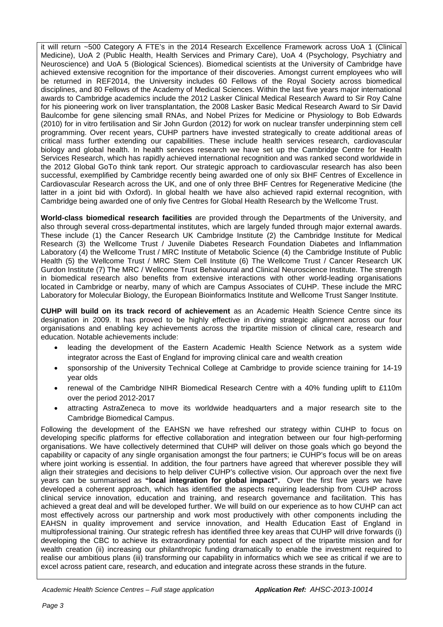it will return ~500 Category A FTE's in the 2014 Research Excellence Framework across UoA 1 (Clinical Medicine), UoA 2 (Public Health, Health Services and Primary Care), UoA 4 (Psychology, Psychiatry and Neuroscience) and UoA 5 (Biological Sciences). Biomedical scientists at the University of Cambridge have achieved extensive recognition for the importance of their discoveries. Amongst current employees who will be returned in REF2014, the University includes 60 Fellows of the Royal Society across biomedical disciplines, and 80 Fellows of the Academy of Medical Sciences. Within the last five years major international awards to Cambridge academics include the 2012 Lasker Clinical Medical Research Award to Sir Roy Calne for his pioneering work on liver transplantation, the 2008 Lasker Basic Medical Research Award to Sir David Baulcombe for gene silencing small RNAs, and Nobel Prizes for Medicine or Physiology to Bob Edwards (2010) for in vitro fertilisation and Sir John Gurdon (2012) for work on nuclear transfer underpinning stem cell programming. Over recent years, CUHP partners have invested strategically to create additional areas of critical mass further extending our capabilities. These include health services research, cardiovascular biology and global health. In health services research we have set up the Cambridge Centre for Health Services Research, which has rapidly achieved international recognition and was ranked second worldwide in the 2012 Global GoTo think tank report. Our strategic approach to cardiovascular research has also been successful, exemplified by Cambridge recently being awarded one of only six BHF Centres of Excellence in Cardiovascular Research across the UK, and one of only three BHF Centres for Regenerative Medicine (the latter in a joint bid with Oxford). In global health we have also achieved rapid external recognition, with Cambridge being awarded one of only five Centres for Global Health Research by the Wellcome Trust.

**World-class biomedical research facilities** are provided through the Departments of the University, and also through several cross-departmental institutes, which are largely funded through major external awards. These include (1) the Cancer Research UK Cambridge Institute (2) the Cambridge Institute for Medical Research (3) the Wellcome Trust / Juvenile Diabetes Research Foundation Diabetes and Inflammation Laboratory (4) the Wellcome Trust / MRC Institute of Metabolic Science (4) the Cambridge Institute of Public Health (5) the Wellcome Trust / MRC Stem Cell Institute (6) The Wellcome Trust / Cancer Research UK Gurdon Institute (7) The MRC / Wellcome Trust Behavioural and Clinical Neuroscience Institute. The strength in biomedical research also benefits from extensive interactions with other world-leading organisations located in Cambridge or nearby, many of which are Campus Associates of CUHP. These include the MRC Laboratory for Molecular Biology, the European Bioinformatics Institute and Wellcome Trust Sanger Institute.

**CUHP will build on its track record of achievement** as an Academic Health Science Centre since its designation in 2009. It has proved to be highly effective in driving strategic alignment across our four organisations and enabling key achievements across the tripartite mission of clinical care, research and education. Notable achievements include:

- leading the development of the Eastern Academic Health Science Network as a system wide integrator across the East of England for improving clinical care and wealth creation
- sponsorship of the University Technical College at Cambridge to provide science training for 14-19 year olds
- renewal of the Cambridge NIHR Biomedical Research Centre with a 40% funding uplift to £110m over the period 2012-2017
- attracting AstraZeneca to move its worldwide headquarters and a major research site to the Cambridge Biomedical Campus.

Following the development of the EAHSN we have refreshed our strategy within CUHP to focus on developing specific platforms for effective collaboration and integration between our four high-performing organisations. We have collectively determined that CUHP will deliver on those goals which go beyond the capability or capacity of any single organisation amongst the four partners; ie CUHP's focus will be on areas where joint working is essential. In addition, the four partners have agreed that wherever possible they will align their strategies and decisions to help deliver CUHP's collective vision. Our approach over the next five years can be summarised as **"local integration for global impact".** Over the first five years we have developed a coherent approach, which has identified the aspects requiring leadership from CUHP across clinical service innovation, education and training, and research governance and facilitation. This has achieved a great deal and will be developed further. We will build on our experience as to how CUHP can act most effectively across our partnership and work most productively with other components including the EAHSN in quality improvement and service innovation, and Health Education East of England in multiprofessional training. Our strategic refresh has identified three key areas that CUHP will drive forwards (i) developing the CBC to achieve its extraordinary potential for each aspect of the tripartite mission and for wealth creation (ii) increasing our philanthropic funding dramatically to enable the investment required to realise our ambitious plans (iii) transforming our capability in informatics which we see as critical if we are to excel across patient care, research, and education and integrate across these strands in the future.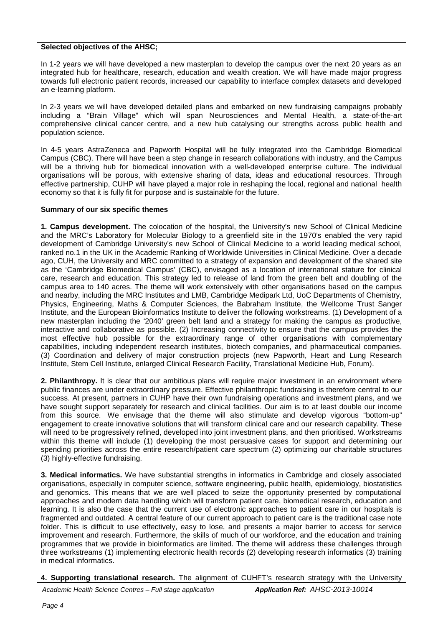#### **Selected objectives of the AHSC;**

In 1-2 years we will have developed a new masterplan to develop the campus over the next 20 years as an integrated hub for healthcare, research, education and wealth creation. We will have made major progress towards full electronic patient records, increased our capability to interface complex datasets and developed an e-learning platform.

In 2-3 years we will have developed detailed plans and embarked on new fundraising campaigns probably including a "Brain Village" which will span Neurosciences and Mental Health, a state-of-the-art comprehensive clinical cancer centre, and a new hub catalysing our strengths across public health and population science.

In 4-5 years AstraZeneca and Papworth Hospital will be fully integrated into the Cambridge Biomedical Campus (CBC). There will have been a step change in research collaborations with industry, and the Campus will be a thriving hub for biomedical innovation with a well-developed enterprise culture. The individual organisations will be porous, with extensive sharing of data, ideas and educational resources. Through effective partnership, CUHP will have played a major role in reshaping the local, regional and national health economy so that it is fully fit for purpose and is sustainable for the future.

#### **Summary of our six specific themes**

**1. Campus development.** The colocation of the hospital, the University's new School of Clinical Medicine and the MRC's Laboratory for Molecular Biology to a greenfield site in the 1970's enabled the very rapid development of Cambridge University's new School of Clinical Medicine to a world leading medical school, ranked no.1 in the UK in the Academic Ranking of Worldwide Universities in Clinical Medicine. Over a decade ago, CUH, the University and MRC committed to a strategy of expansion and development of the shared site as the 'Cambridge Biomedical Campus' (CBC), envisaged as a location of international stature for clinical care, research and education. This strategy led to release of land from the green belt and doubling of the campus area to 140 acres. The theme will work extensively with other organisations based on the campus and nearby, including the MRC Institutes and LMB, Cambridge Medipark Ltd, UoC Departments of Chemistry, Physics, Engineering, Maths & Computer Sciences, the Babraham Institute, the Wellcome Trust Sanger Institute, and the European Bioinformatics Institute to deliver the following workstreams. (1) Development of a new masterplan including the '2040' green belt land and a strategy for making the campus as productive, interactive and collaborative as possible. (2) Increasing connectivity to ensure that the campus provides the most effective hub possible for the extraordinary range of other organisations with complementary capabilities, including independent research institutes, biotech companies, and pharmaceutical companies. (3) Coordination and delivery of major construction projects (new Papworth, Heart and Lung Research Institute, Stem Cell Institute, enlarged Clinical Research Facility, Translational Medicine Hub, Forum).

**2. Philanthropy.** It is clear that our ambitious plans will require major investment in an environment where public finances are under extraordinary pressure. Effective philanthropic fundraising is therefore central to our success. At present, partners in CUHP have their own fundraising operations and investment plans, and we have sought support separately for research and clinical facilities. Our aim is to at least double our income from this source. We envisage that the theme will also stimulate and develop vigorous "bottom-up" engagement to create innovative solutions that will transform clinical care and our research capability. These will need to be progressively refined, developed into joint investment plans, and then prioritised. Workstreams within this theme will include (1) developing the most persuasive cases for support and determining our spending priorities across the entire research/patient care spectrum (2) optimizing our charitable structures (3) highly-effective fundraising.

**3. Medical informatics.** We have substantial strengths in informatics in Cambridge and closely associated organisations, especially in computer science, software engineering, public health, epidemiology, biostatistics and genomics. This means that we are well placed to seize the opportunity presented by computational approaches and modern data handling which will transform patient care, biomedical research, education and learning. It is also the case that the current use of electronic approaches to patient care in our hospitals is fragmented and outdated. A central feature of our current approach to patient care is the traditional case note folder. This is difficult to use effectively, easy to lose, and presents a major barrier to access for service improvement and research. Furthermore, the skills of much of our workforce, and the education and training programmes that we provide in bioinformatics are limited. The theme will address these challenges through three workstreams (1) implementing electronic health records (2) developing research informatics (3) training in medical informatics.

**4. Supporting translational research.** The alignment of CUHFT's research strategy with the University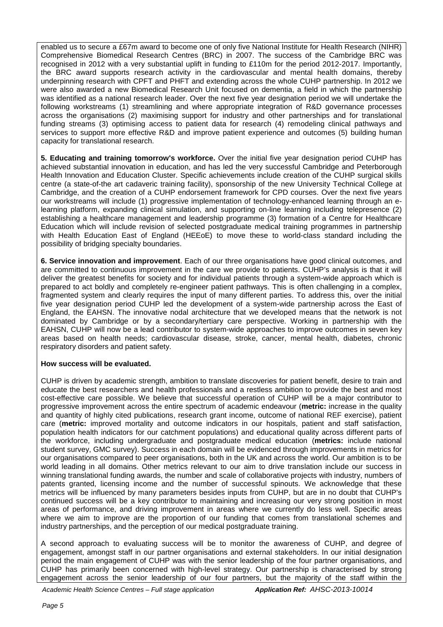enabled us to secure a £67m award to become one of only five National Institute for Health Research (NIHR) Comprehensive Biomedical Research Centres (BRC) in 2007. The success of the Cambridge BRC was recognised in 2012 with a very substantial uplift in funding to £110m for the period 2012-2017. Importantly, the BRC award supports research activity in the cardiovascular and mental health domains, thereby underpinning research with CPFT and PHFT and extending across the whole CUHP partnership. In 2012 we were also awarded a new Biomedical Research Unit focused on dementia, a field in which the partnership was identified as a national research leader. Over the next five year designation period we will undertake the following workstreams (1) streamlining and where appropriate integration of R&D governance processes across the organisations (2) maximising support for industry and other partnerships and for translational funding streams (3) optimising access to patient data for research (4) remodeling clinical pathways and services to support more effective R&D and improve patient experience and outcomes (5) building human capacity for translational research.

**5. Educating and training tomorrow's workforce.** Over the initial five year designation period CUHP has achieved substantial innovation in education, and has led the very successful Cambridge and Peterborough Health Innovation and Education Cluster. Specific achievements include creation of the CUHP surgical skills centre (a state-of-the art cadaveric training facility), sponsorship of the new University Technical College at Cambridge, and the creation of a CUHP endorsement framework for CPD courses. Over the next five years our workstreams will include (1) progressive implementation of technology-enhanced learning through an elearning platform, expanding clinical simulation, and supporting on-line learning including telepresence (2) establishing a healthcare management and leadership programme (3) formation of a Centre for Healthcare Education which will include revision of selected postgraduate medical training programmes in partnership with Health Education East of England (HEEoE) to move these to world-class standard including the possibility of bridging specialty boundaries.

**6. Service innovation and improvement**. Each of our three organisations have good clinical outcomes, and are committed to continuous improvement in the care we provide to patients. CUHP's analysis is that it will deliver the greatest benefits for society and for individual patients through a system-wide approach which is prepared to act boldly and completely re-engineer patient pathways. This is often challenging in a complex, fragmented system and clearly requires the input of many different parties. To address this, over the initial five year designation period CUHP led the development of a system-wide partnership across the East of England, the EAHSN. The innovative nodal architecture that we developed means that the network is not dominated by Cambridge or by a secondary/tertiary care perspective. Working in partnership with the EAHSN, CUHP will now be a lead contributor to system-wide approaches to improve outcomes in seven key areas based on health needs; cardiovascular disease, stroke, cancer, mental health, diabetes, chronic respiratory disorders and patient safety.

### **How success will be evaluated.**

CUHP is driven by academic strength, ambition to translate discoveries for patient benefit, desire to train and educate the best researchers and health professionals and a restless ambition to provide the best and most cost-effective care possible. We believe that successful operation of CUHP will be a major contributor to progressive improvement across the entire spectrum of academic endeavour (**metric:** increase in the quality and quantity of highly cited publications, research grant income, outcome of national REF exercise), patient care (**metric:** improved mortality and outcome indicators in our hospitals, patient and staff satisfaction, population health indicators for our catchment populations) and educational quality across different parts of the workforce, including undergraduate and postgraduate medical education (**metrics:** include national student survey, GMC survey). Success in each domain will be evidenced through improvements in metrics for our organisations compared to peer organisations, both in the UK and across the world. Our ambition is to be world leading in all domains. Other metrics relevant to our aim to drive translation include our success in winning translational funding awards, the number and scale of collaborative projects with industry, numbers of patents granted, licensing income and the number of successful spinouts. We acknowledge that these metrics will be influenced by many parameters besides inputs from CUHP, but are in no doubt that CUHP's continued success will be a key contributor to maintaining and increasing our very strong position in most areas of performance, and driving improvement in areas where we currently do less well. Specific areas where we aim to improve are the proportion of our funding that comes from translational schemes and industry partnerships, and the perception of our medical postgraduate training.

A second approach to evaluating success will be to monitor the awareness of CUHP, and degree of engagement, amongst staff in our partner organisations and external stakeholders. In our initial designation period the main engagement of CUHP was with the senior leadership of the four partner organisations, and CUHP has primarily been concerned with high-level strategy. Our partnership is characterised by strong engagement across the senior leadership of our four partners, but the majority of the staff within the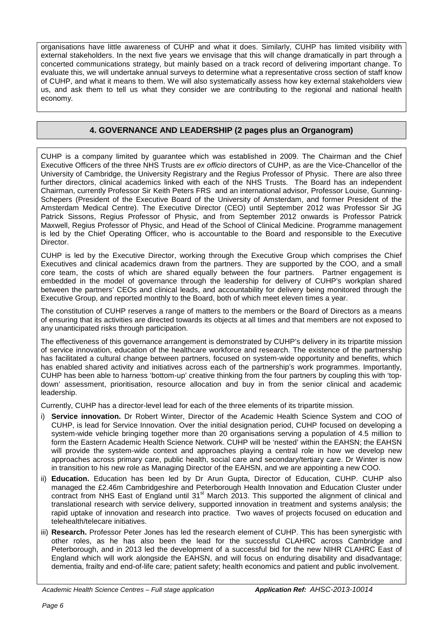organisations have little awareness of CUHP and what it does. Similarly, CUHP has limited visibility with external stakeholders. In the next five years we envisage that this will change dramatically in part through a concerted communications strategy, but mainly based on a track record of delivering important change. To evaluate this, we will undertake annual surveys to determine what a representative cross section of staff know of CUHP, and what it means to them. We will also systematically assess how key external stakeholders view us, and ask them to tell us what they consider we are contributing to the regional and national health economy.

## **4. GOVERNANCE AND LEADERSHIP (2 pages plus an Organogram)**

CUHP is a company limited by guarantee which was established in 2009. The Chairman and the Chief Executive Officers of the three NHS Trusts are *ex officio* directors of CUHP, as are the Vice-Chancellor of the University of Cambridge, the University Registrary and the Regius Professor of Physic. There are also three further directors, clinical academics linked with each of the NHS Trusts. The Board has an independent Chairman, currently Professor Sir Keith Peters FRS and an international advisor, Professor Louise, Gunning-Schepers (President of the Executive Board of the University of Amsterdam, and former President of the Amsterdam Medical Centre). The Executive Director (CEO) until September 2012 was Professor Sir JG Patrick Sissons, Regius Professor of Physic, and from September 2012 onwards is Professor Patrick Maxwell, Regius Professor of Physic, and Head of the School of Clinical Medicine. Programme management is led by the Chief Operating Officer, who is accountable to the Board and responsible to the Executive Director.

CUHP is led by the Executive Director, working through the Executive Group which comprises the Chief Executives and clinical academics drawn from the partners. They are supported by the COO, and a small core team, the costs of which are shared equally between the four partners. Partner engagement is embedded in the model of governance through the leadership for delivery of CUHP's workplan shared between the partners' CEOs and clinical leads, and accountability for delivery being monitored through the Executive Group, and reported monthly to the Board, both of which meet eleven times a year.

The constitution of CUHP reserves a range of matters to the members or the Board of Directors as a means of ensuring that its activities are directed towards its objects at all times and that members are not exposed to any unanticipated risks through participation.

The effectiveness of this governance arrangement is demonstrated by CUHP's delivery in its tripartite mission of service innovation, education of the healthcare workforce and research. The existence of the partnership has facilitated a cultural change between partners, focused on system-wide opportunity and benefits, which has enabled shared activity and initiatives across each of the partnership's work programmes. Importantly, CUHP has been able to harness 'bottom-up' creative thinking from the four partners by coupling this with 'topdown' assessment, prioritisation, resource allocation and buy in from the senior clinical and academic leadership.

Currently, CUHP has a director-level lead for each of the three elements of its tripartite mission.

- i) **Service innovation.** Dr Robert Winter, Director of the Academic Health Science System and COO of CUHP, is lead for Service Innovation. Over the initial designation period, CUHP focused on developing a system-wide vehicle bringing together more than 20 organisations serving a population of 4.5 million to form the Eastern Academic Health Science Network. CUHP will be 'nested' within the EAHSN; the EAHSN will provide the system-wide context and approaches playing a central role in how we develop new approaches across primary care, public health, social care and secondary/tertiary care. Dr Winter is now in transition to his new role as Managing Director of the EAHSN, and we are appointing a new COO.
- ii) **Education.** Education has been led by Dr Arun Gupta, Director of Education, CUHP. CUHP also managed the £2.46m Cambridgeshire and Peterborough Health Innovation and Education Cluster under contract from NHS East of England until  $31<sup>st</sup>$  March 2013. This supported the alignment of clinical and translational research with service delivery, supported innovation in treatment and systems analysis; the rapid uptake of innovation and research into practice. Two waves of projects focused on education and telehealth/telecare initiatives.
- iii) **Research.** Professor Peter Jones has led the research element of CUHP. This has been synergistic with other roles, as he has also been the lead for the successful CLAHRC across Cambridge and Peterborough, and in 2013 led the development of a successful bid for the new NIHR CLAHRC East of England which will work alongside the EAHSN, and will focus on enduring disability and disadvantage; dementia, frailty and end-of-life care; patient safety; health economics and patient and public involvement.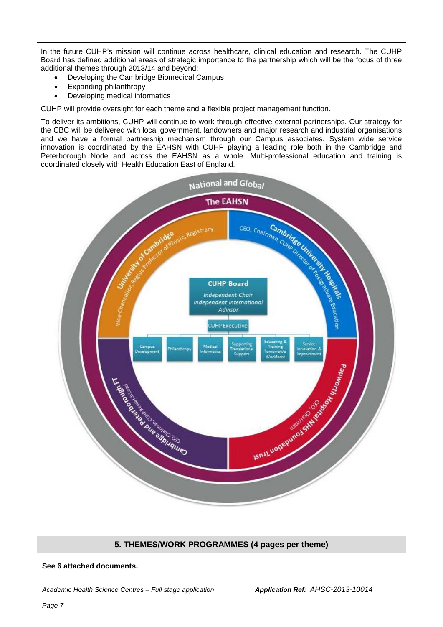In the future CUHP's mission will continue across healthcare, clinical education and research. The CUHP Board has defined additional areas of strategic importance to the partnership which will be the focus of three additional themes through 2013/14 and beyond:

- Developing the Cambridge Biomedical Campus
- Expanding philanthropy
- Developing medical informatics

CUHP will provide oversight for each theme and a flexible project management function.

To deliver its ambitions, CUHP will continue to work through effective external partnerships. Our strategy for the CBC will be delivered with local government, landowners and major research and industrial organisations and we have a formal partnership mechanism through our Campus associates. System wide service innovation is coordinated by the EAHSN with CUHP playing a leading role both in the Cambridge and Peterborough Node and across the EAHSN as a whole. Multi-professional education and training is coordinated closely with Health Education East of England.



### **5. THEMES/WORK PROGRAMMES (4 pages per theme)**

#### **See 6 attached documents.**

*Academic Health Science Centres – Full stage application Application Ref: AHSC-2013-10014*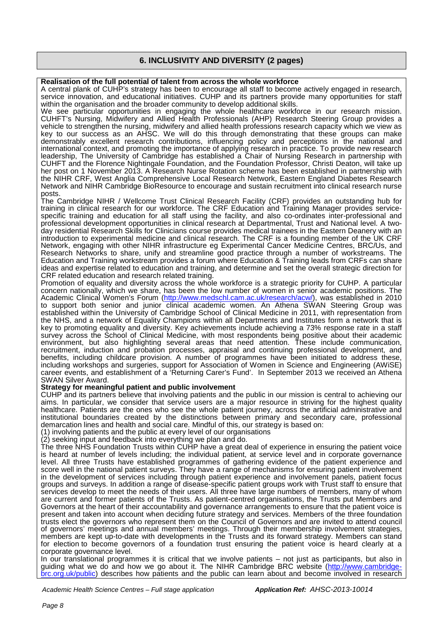### **6. INCLUSIVITY AND DIVERSITY (2 pages)**

#### **Realisation of the full potential of talent from across the whole workforce**

A central plank of CUHP's strategy has been to encourage all staff to become actively engaged in research, service innovation, and educational initiatives. CUHP and its partners provide many opportunities for staff within the organisation and the broader community to develop additional skills.

We see particular opportunities in engaging the whole healthcare workforce in our research mission. CUHFT's Nursing, Midwifery and Allied Health Professionals (AHP) Research Steering Group provides a vehicle to strengthen the nursing, midwifery and allied health professions research capacity which we view as key to our success as an AHSC. We will do this through demonstrating that these groups can make demonstrably excellent research contributions, influencing policy and perceptions in the national and international context, and promoting the importance of applying research in practice. To provide new research leadership, The University of Cambridge has established a Chair of Nursing Research in partnership with CUHFT and the Florence Nightingale Foundation, and the Foundation Professor, Christi Deaton, will take up her post on 1 November 2013. A Research Nurse Rotation scheme has been established in partnership with the NIHR CRF, West Anglia Comprehensive Local Research Network, Eastern England Diabetes Research Network and NIHR Cambridge BioResource to encourage and sustain recruitment into clinical research nurse posts.

The Cambridge NIHR / Wellcome Trust Clinical Research Facility (CRF) provides an outstanding hub for training in clinical research for our workforce. The CRF Education and Training Manager provides servicetraining in clinical research for our workforce. The CRF Education and Training Manager provides service- specific training and education for all staff using the facility, and also co-ordinates inter-professional and professional development opportunities in clinical research at Departmental, Trust and National level. A twoday residential Research Skills for Clinicians course provides medical trainees in the Eastern Deanery with an introduction to experimental medicine and clinical research. The CRF is a founding member of the UK CRF Network, engaging with other NIHR infrastructure eg Experimental Cancer Medicine Centres, BRC/Us, and Research Networks to share, unify and streamline good practice through a number of workstreams. The Education and Training workstream provides a forum where Education & Training leads from CRFs can share ideas and expertise related to education and training, and determine and set the overall strategic direction for CRF related education and research related training.

Promotion of equality and diversity across the whole workforce is a strategic priority for CUHP. A particular concern nationally, which we share, has been the low number of women in senior academic positions. The Academic Clinical Women's Forum [\(http://www.medschl.cam.ac.uk/research/acw/\)](http://www.medschl.cam.ac.uk/research/acw/), was established in 2010 to support both senior and junior clinical academic women. An Athena SWAN Steering Group was established within the University of Cambridge School of Clinical Medicine in 2011, with representation from the NHS, and a network of Equality Champions within all Departments and Institutes form a network that is key to promoting equality and diversity. Key achievements include achieving a 73% response rate in a staff survey across the School of Clinical Medicine, with most respondents being positive about their academic environment, but also highlighting several areas that need attention. These include communication, recruitment, induction and probation processes, appraisal and continuing professional development, and benefits, including childcare provision. A number of programmes have been initiated to address these, including workshops and surgeries, support for Association of Women in Science and Engineering (AWiSE) career events, and establishment of a 'Returning Carer's Fund'. In September 2013 we received an Athena SWAN Silver Award.

#### **Strategy for meaningful patient and public involvement**

CUHP and its partners believe that involving patients and the public in our mission is central to achieving our aims. In particular, we consider that service users are a major resource in striving for the highest quality healthcare. Patients are the ones who see the whole patient journey, across the artificial administrative and institutional boundaries created by the distinctions between primary and secondary care, professional demarcation lines and health and social care. Mindful of this, our strategy is based on:

(1) involving patients and the public at every level of our organisations

(2) seeking input and feedback into everything we plan and do.

The three NHS Foundation Trusts within CUHP have a great deal of experience in ensuring the patient voice is heard at number of levels including; the individual patient, at service level and in corporate governance level. All three Trusts have established programmes of gathering evidence of the patient experience and score well in the national patient surveys. They have a range of mechanisms for ensuring patient involvement in the development of services including through patient experience and involvement panels, patient focus groups and surveys. In addition a range of disease-specific patient groups work with Trust staff to ensure that services develop to meet the needs of their users. All three have large numbers of members, many of whom are current and former patients of the Trusts. As patient-centred organisations, the Trusts put Members and Governors at the heart of their accountability and governance arrangements to ensure that the patient voice is present and taken into account when deciding future strategy and services. Members of the three foundation trusts elect the governors who represent them on the Council of Governors and are invited to attend council of governors' meetings and annual members' meetings. Through their membership involvement strategies, members are kept up-to-date with developments in the Trusts and its forward strategy. Members can stand for election to become governors of a foundation trust ensuring the patient voice is heard clearly at a corporate governance level.

In our translational programmes it is critical that we involve patients – not just as participants, but also in guiding what we do and how we go about it. The NIHR Cambridge BRC website [\(http://www.cambridge](http://www.cambridge-brc.org.uk/public)[brc.org.uk/public\)](http://www.cambridge-brc.org.uk/public) describes how patients and the public can learn about and become involved in research

*Academic Health Science Centres – Full stage application Application Ref: AHSC-2013-10014*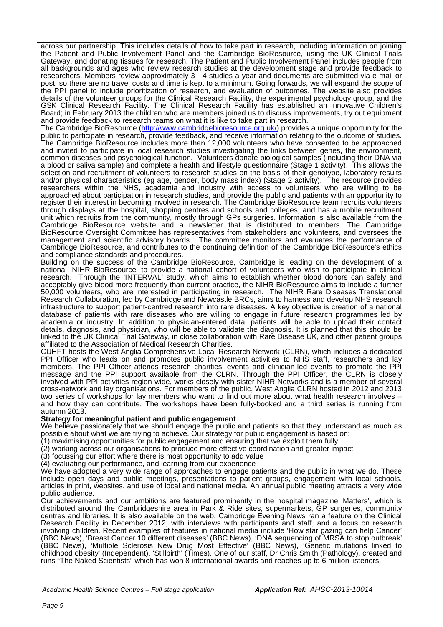across our partnership. This includes details of how to take part in research, including information on joining the Patient and Public Involvement Panel and the Cambridge BioResource, using the UK Clinical Trials Gateway, and donating tissues for research. The Patient and Public Involvement Panel includes people from all backgrounds and ages who review research studies at the development stage and provide feedback to researchers. Members review approximately 3 - 4 studies a year and documents are submitted via e-mail or post, so there are no travel costs and time is kept to a minimum. Going forwards, we will expand the scope of the PPI panel to include prioritization of research, and evaluation of outcomes. The website also provides details of the volunteer groups for the Clinical Research Facility, the experimental psychology group, and the GSK Clinical Research Facility. The Clinical Research Facility has established an innovative Children's Board; in February 2013 the children who are members joined us to discuss improvements, try out equipment and provide feedback to research teams on what it is like to take part in research.

The Cambridge BioResource [\(http://www.cambridgebioresource.org.uk/\)](http://www.cambridgebioresource.org.uk/) provides a unique opportunity for the public to participate in research, provide feedback, and receive information relating to the outcome of studies. The Cambridge BioResource includes more than 12,000 volunteers who have consented to be approached and invited to participate in local research studies investigating the links between genes, the environment, common diseases and psychological function. Volunteers donate biological samples (including their DNA via a blood or saliva sample) and complete a health and lifestyle questionnaire (Stage 1 activity). This allows the selection and recruitment of volunteers to research studies on the basis of their genotype, laboratory results and/or physical characteristics (eg age, gender, body mass index) (Stage 2 activity). The resource provides researchers within the NHS, academia and industry with access to volunteers who are willing to be approached about participation in research studies, and provide the public and patients with an opportunity to register their interest in becoming involved in research. The Cambridge BioResource team recruits volunteers through displays at the hospital, shopping centres and schools and colleges, and has a mobile recruitment unit which recruits from the community, mostly through GPs surgeries. Information is also available from the Cambridge BioResource website and a newsletter that is distributed to members. The Cambridge BioResource Oversight Committee has representatives from stakeholders and volunteers, and oversees the management and scientific advisory boards. The committee monitors and evaluates the performance of Cambridge BioResource, and contributes to the continuing definition of the Cambridge BioResource's ethics and compliance standards and procedures.

Building on the success of the Cambridge BioResource, Cambridge is leading on the development of a national 'NIHR BioResource' to provide a national cohort of volunteers who wish to participate in clinical research. Through the 'INTERVAL' study, which aims to establish whether blood donors can safely and acceptably give blood more frequently than current practice, the NIHR BioResource aims to include a further 50,000 volunteers, who are interested in participating in research. The NIHR Rare Diseases Translational Research Collaboration, led by Cambridge and Newcastle BRCs, aims to harness and develop NHS research infrastructure to support patient-centred research into rare diseases. A key objective is creation of a national database of patients with rare diseases who are willing to engage in future research programmes led by academia or industry. In addition to physician-entered data, patients will be able to upload their contact details, diagnosis, and physician, who will be able to validate the diagnosis. It is planned that this should be linked to the UK Clinical Trial Gateway, in close collaboration with Rare Disease UK, and other patient groups affiliated to the Association of Medical Research Charities.

CUHFT hosts the West Anglia Comprehensive Local Research Network (CLRN), which includes a dedicated PPI Officer who leads on and promotes public involvement activities to NHS staff, researchers and lay members. The PPI Officer attends research charities' events and clinician-led events to promote the PPI message and the PPI support available from the CLRN. Through the PPI Officer, the CLRN is closely involved with PPI activities region-wide, works closely with sister NIHR Networks and is a member of several cross-network and lay organisations. For members of the public, West Anglia CLRN hosted in 2012 and 2013 two series of workshops for lay members who want to find out more about what health research involves – and how they can contribute. The workshops have been fully-booked and a third series is running from autumn 2013.

#### **Strategy for meaningful patient and public engagement**

We believe passionately that we should engage the public and patients so that they understand as much as possible about what we are trying to achieve. Our strategy for public engagement is based on:

(1) maximising opportunities for public engagement and ensuring that we exploit them fully

(2) working across our organisations to produce more effective coordination and greater impact

(3) focussing our effort where there is most opportunity to add value

(4) evaluating our performance, and learning from our experience

We have adopted a very wide range of approaches to engage patients and the public in what we do. These include open days and public meetings, presentations to patient groups, engagement with local schools, articles in print, websites, and use of local and national media. An annual public meeting attracts a very wide public audience.

Our achievements and our ambitions are featured prominently in the hospital magazine 'Matters', which is distributed around the Cambridgeshire area in Park & Ride sites, supermarkets, GP surgeries, community centres and libraries. It is also available on the web. Cambridge Evening News ran a feature on the Clinical Research Facility in December 2012, with interviews with participants and staff, and a focus on research involving children. Recent examples of features in national media include 'How star gazing can help Cancer' (BBC News), 'Breast Cancer 10 different diseases' (BBC News), 'DNA sequencing of MRSA to stop outbreak' (BBC News), 'Multiple Sclerosis New Drug Most Effective' (BBC News), 'Genetic mutations linked to childhood obesity' (Independent), 'Stillbirth' (Times). One of our staff, Dr Chris Smith (Pathology), created and runs "The Naked Scientists" which has won 8 international awards and reaches up to 6 million listeners.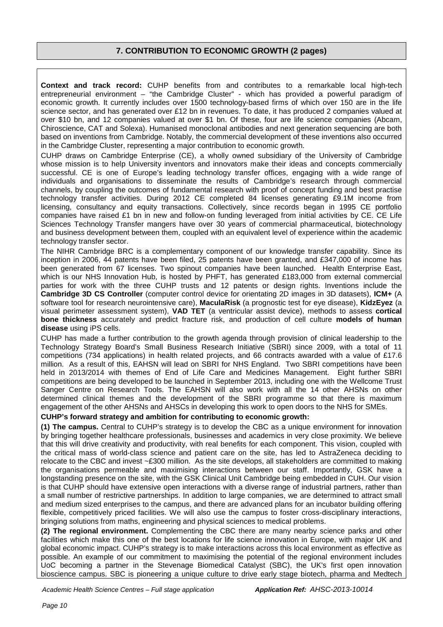### **7. CONTRIBUTION TO ECONOMIC GROWTH (2 pages)**

**Context and track record:** CUHP benefits from and contributes to a remarkable local high-tech entrepreneurial environment – "the Cambridge Cluster" - which has provided a powerful paradigm of economic growth. It currently includes over 1500 technology-based firms of which over 150 are in the life science sector, and has generated over £12 bn in revenues. To date, it has produced 2 companies valued at over \$10 bn, and 12 companies valued at over \$1 bn. Of these, four are life science companies (Abcam, Chiroscience, CAT and Solexa). Humanised monoclonal antibodies and next generation sequencing are both based on inventions from Cambridge. Notably, the commercial development of these inventions also occurred in the Cambridge Cluster, representing a major contribution to economic growth.

CUHP draws on Cambridge Enterprise (CE), a wholly owned subsidiary of the University of Cambridge whose mission is to help University inventors and innovators make their ideas and concepts commercially successful. CE is one of Europe's leading technology transfer offices, engaging with a wide range of individuals and organisations to disseminate the results of Cambridge's research through commercial channels, by coupling the outcomes of fundamental research with proof of concept funding and best practise technology transfer activities. During 2012 CE completed 84 licenses generating £9.1M income from licensing, consultancy and equity transactions. Collectively, since records began in 1995 CE portfolio companies have raised £1 bn in new and follow-on funding leveraged from initial activities by CE. CE Life Sciences Technology Transfer mangers have over 30 years of commercial pharmaceutical, biotechnology and business development between them, coupled with an equivalent level of experience within the academic technology transfer sector.

The NIHR Cambridge BRC is a complementary component of our knowledge transfer capability. Since its inception in 2006, 44 patents have been filed, 25 patents have been granted, and £347,000 of income has been generated from 67 licenses. Two spinout companies have been launched. Health Enterprise East, which is our NHS Innovation Hub, is hosted by PHFT, has generated £183,000 from external commercial parties for work with the three CUHP trusts and 12 patents or design rights. Inventions include the **Cambridge 3D CS Controller** (computer control device for orientating 2D images in 3D datasets), **ICM+** (A software tool for research neurointensive care), **MaculaRisk** (a prognostic test for eye disease), **KidzEyez** (a visual perimeter assessment system), **VAD TET** (a ventricular assist device), methods to assess **cortical bone thickness** accurately and predict fracture risk, and production of cell culture **models of human disease** using iPS cells.

CUHP has made a further contribution to the growth agenda through provision of clinical leadership to the Technology Strategy Board's Small Business Research Initiative (SBRI) since 2009, with a total of 11 competitions (734 applications) in health related projects, and 66 contracts awarded with a value of £17.6 million. As a result of this, EAHSN will lead on SBRI for NHS England. Two SBRI competitions have been held in 2013/2014 with themes of End of Life Care and Medicines Management. Eight further SBRI competitions are being developed to be launched in September 2013, including one with the Wellcome Trust Sanger Centre on Research Tools. The EAHSN will also work with all the 14 other AHSNs on other determined clinical themes and the development of the SBRI programme so that there is maximum engagement of the other AHSNs and AHSCs in developing this work to open doors to the NHS for SMEs.

#### **CUHP's forward strategy and ambition for contributing to economic growth:**

**(1) The campus.** Central to CUHP's strategy is to develop the CBC as a unique environment for innovation by bringing together healthcare professionals, businesses and academics in very close proximity. We believe that this will drive creativity and productivity, with real benefits for each component. This vision, coupled with the critical mass of world-class science and patient care on the site, has led to AstraZeneca deciding to relocate to the CBC and invest ~£300 million. As the site develops, all stakeholders are committed to making the organisations permeable and maximising interactions between our staff. Importantly, GSK have a longstanding presence on the site, with the GSK Clinical Unit Cambridge being embedded in CUH. Our vision is that CUHP should have extensive open interactions with a diverse range of industrial partners, rather than a small number of restrictive partnerships. In addition to large companies, we are determined to attract small and medium sized enterprises to the campus, and there are advanced plans for an incubator building offering flexible, competitively priced facilities. We will also use the campus to foster cross-disciplinary interactions, bringing solutions from maths, engineering and physical sciences to medical problems.

**(2) The regional environment.** Complementing the CBC there are many nearby science parks and other facilities which make this one of the best locations for life science innovation in Europe, with major UK and global economic impact. CUHP's strategy is to make interactions across this local environment as effective as possible. An example of our commitment to maximising the potential of the regional environment includes UoC becoming a partner in the Stevenage Biomedical Catalyst (SBC), the UK's first open innovation bioscience campus. SBC is pioneering a unique culture to drive early stage biotech, pharma and Medtech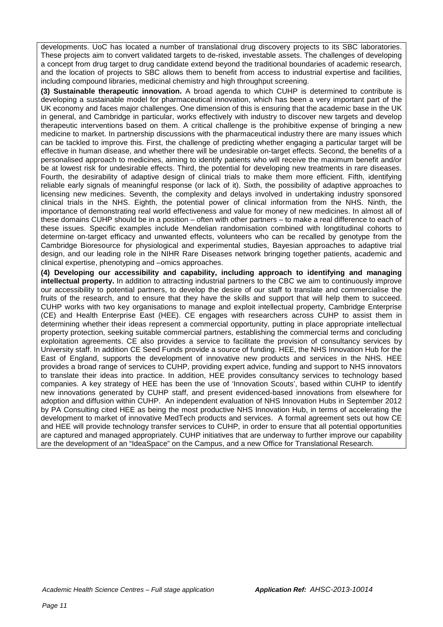developments. UoC has located a number of translational drug discovery projects to its SBC laboratories. These projects aim to convert validated targets to de-risked, investable assets. The challenges of developing a concept from drug target to drug candidate extend beyond the traditional boundaries of academic research, and the location of projects to SBC allows them to benefit from access to industrial expertise and facilities, including compound libraries, medicinal chemistry and high throughput screening.

**(3) Sustainable therapeutic innovation.** A broad agenda to which CUHP is determined to contribute is developing a sustainable model for pharmaceutical innovation, which has been a very important part of the UK economy and faces major challenges. One dimension of this is ensuring that the academic base in the UK in general, and Cambridge in particular, works effectively with industry to discover new targets and develop therapeutic interventions based on them. A critical challenge is the prohibitive expense of bringing a new medicine to market. In partnership discussions with the pharmaceutical industry there are many issues which can be tackled to improve this. First, the challenge of predicting whether engaging a particular target will be effective in human disease, and whether there will be undesirable on-target effects. Second, the benefits of a personalised approach to medicines, aiming to identify patients who will receive the maximum benefit and/or be at lowest risk for undesirable effects. Third, the potential for developing new treatments in rare diseases. Fourth, the desirability of adaptive design of clinical trials to make them more efficient. Fifth, identifying reliable early signals of meaningful response (or lack of it). Sixth, the possibility of adaptive approaches to licensing new medicines. Seventh, the complexity and delays involved in undertaking industry sponsored clinical trials in the NHS. Eighth, the potential power of clinical information from the NHS. Ninth, the importance of demonstrating real world effectiveness and value for money of new medicines. In almost all of these domains CUHP should be in a position – often with other partners – to make a real difference to each of these issues. Specific examples include Mendelian randomisation combined with longtitudinal cohorts to determine on-target efficacy and unwanted effects, volunteers who can be recalled by genotype from the Cambridge Bioresource for physiological and experimental studies, Bayesian approaches to adaptive trial design, and our leading role in the NIHR Rare Diseases network bringing together patients, academic and clinical expertise, phenotyping and –omics approaches.

**(4) Developing our accessibility and capability, including approach to identifying and managing intellectual property.** In addition to attracting industrial partners to the CBC we aim to continuously improve our accessibility to potential partners, to develop the desire of our staff to translate and commercialise the fruits of the research, and to ensure that they have the skills and support that will help them to succeed. CUHP works with two key organisations to manage and exploit intellectual property, Cambridge Enterprise (CE) and Health Enterprise East (HEE). CE engages with researchers across CUHP to assist them in determining whether their ideas represent a commercial opportunity, putting in place appropriate intellectual property protection, seeking suitable commercial partners, establishing the commercial terms and concluding exploitation agreements. CE also provides a service to facilitate the provision of consultancy services by University staff. In addition CE Seed Funds provide a source of funding. HEE, the NHS Innovation Hub for the East of England, supports the development of innovative new products and services in the NHS. HEE provides a broad range of services to CUHP, providing expert advice, funding and support to NHS innovators to translate their ideas into practice. In addition, HEE provides consultancy services to technology based companies. A key strategy of HEE has been the use of 'Innovation Scouts', based within CUHP to identify new innovations generated by CUHP staff, and present evidenced-based innovations from elsewhere for adoption and diffusion within CUHP. An independent evaluation of NHS Innovation Hubs in September 2012 by PA Consulting cited HEE as being the most productive NHS Innovation Hub, in terms of accelerating the development to market of innovative MedTech products and services. A formal agreement sets out how CE and HEE will provide technology transfer services to CUHP, in order to ensure that all potential opportunities are captured and managed appropriately. CUHP initiatives that are underway to further improve our capability are the development of an "IdeaSpace" on the Campus, and a new Office for Translational Research.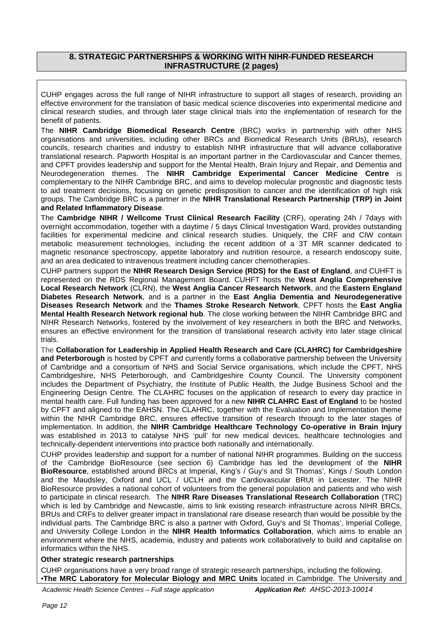### **8. STRATEGIC PARTNERSHIPS & WORKING WITH NIHR-FUNDED RESEARCH INFRASTRUCTURE (2 pages)**

CUHP engages across the full range of NIHR infrastructure to support all stages of research, providing an effective environment for the translation of basic medical science discoveries into experimental medicine and clinical research studies, and through later stage clinical trials into the implementation of research for the benefit of patients.

The **NIHR Cambridge Biomedical Research Centre** (BRC) works in partnership with other NHS organisations and universities, including other BRCs and Biomedical Research Units (BRUs), research councils, research charities and industry to establish NIHR infrastructure that will advance collaborative translational research. Papworth Hospital is an important partner in the Cardiovascular and Cancer themes, and CPFT provides leadership and support for the Mental Health, Brain Injury and Repair, and Dementia and Neurodegeneration themes. The **NIHR Cambridge Experimental Cancer Medicine Centre** is complementary to the NIHR Cambridge BRC, and aims to develop molecular prognostic and diagnostic tests to aid treatment decisions, focusing on genetic predisposition to cancer and the identification of high risk groups. The Cambridge BRC is a partner in the **NIHR Translational Research Partnership (TRP) in Joint and Related Inflammatory Disease**.

The **Cambridge NIHR / Wellcome Trust Clinical Research Facility** (CRF), operating 24h / 7days with overnight accommodation, together with a daytime / 5 days Clinical Investigation Ward, provides outstanding facilities for experimental medicine and clinical research studies. Uniquely, the CRF and CIW contain metabolic measurement technologies, including the recent addition of a 3T MR scanner dedicated to magnetic resonance spectroscopy, appetite laboratory and nutrition resource, a research endoscopy suite, and an area dedicated to intravenous treatment including cancer chemotherapies.

CUHP partners support the **NIHR Research Design Service (RDS) for the East of England**, and CUHFT is represented on the RDS Regional Management Board. CUHFT hosts the **West Anglia Comprehensive Local Research Network** (CLRN), the **West Anglia Cancer Research Network**, and the **Eastern England Diabetes Research Network**, and is a partner in the **East Anglia Dementia and Neurodegenerative Diseases Research Network** and the **Thames Stroke Research Network**. CPFT hosts the **East Anglia Mental Health Research Network regional hub**. The close working between the NIHR Cambridge BRC and NIHR Research Networks, fostered by the involvement of key researchers in both the BRC and Networks, ensures an effective environment for the transition of translational research activity into later stage clinical trials.

The **Collaboration for Leadership in Applied Health Research and Care (CLAHRC) for Cambridgeshire and Peterborough** is hosted by CPFT and currently forms a collaborative partnership between the University of Cambridge and a consortium of NHS and Social Service organisations, which include the CPFT, NHS Cambridgeshire, NHS Peterborough, and Cambridgeshire County Council. The University component includes the Department of Psychiatry, the Institute of Public Health, the Judge Business School and the Engineering Design Centre. The CLAHRC focuses on the application of research to every day practice in mental health care. Full funding has been approved for a new **NIHR CLAHRC East of England** to be hosted by CPFT and aligned to the EAHSN. The CLAHRC, together with the Evaluation and Implementation theme within the NIHR Cambridge BRC, ensures effective transition of research through to the later stages of implementation. In addition, the **NIHR Cambridge Healthcare Technology Co-operative in Brain Injury** was established in 2013 to catalyse NHS 'pull' for new medical devices, healthcare technologies and technically-dependent interventions into practice both nationally and internationally.

CUHP provides leadership and support for a number of national NIHR programmes. Building on the success of the Cambridge BioResource (see section 6) Cambridge has led the development of the **NIHR BioResource**, established around BRCs at Imperial, King's / Guy's and St Thomas', Kings / South London and the Maudsley, Oxford and UCL / UCLH and the Cardiovascular BRUt in Leicester. The NIHR BioResource provides a national cohort of volunteers from the general population and patients and who wish to participate in clinical research. The **NIHR Rare Diseases Translational Research Collaboration** (TRC) which is led by Cambridge and Newcastle, aims to link existing research infrastructure across NIHR BRCs, BRUs and CRFs to deliver greater impact in translational rare disease research than would be possible by the individual parts. The Cambridge BRC is also a partner with Oxford, Guy's and St Thomas', Imperial College, and University College London in the **NIHR Health Informatics Collaboration**, which aims to enable an environment where the NHS, academia, industry and patients work collaboratively to build and capitalise on informatics within the NHS.

#### **Other strategic research partnerships**

CUHP organisations have a very broad range of strategic research partnerships, including the following. •**The MRC Laboratory for Molecular Biology and MRC Units** located in Cambridge. The University and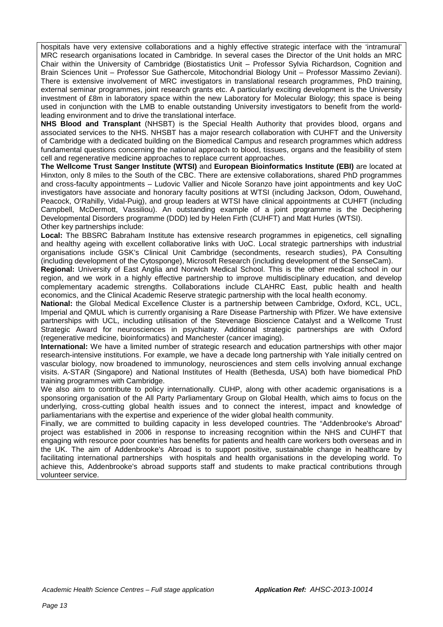hospitals have very extensive collaborations and a highly effective strategic interface with the 'intramural' MRC research organisations located in Cambridge. In several cases the Director of the Unit holds an MRC Chair within the University of Cambridge (Biostatistics Unit – Professor Sylvia Richardson, Cognition and Brain Sciences Unit – Professor Sue Gathercole, Mitochondrial Biology Unit – Professor Massimo Zeviani). There is extensive involvement of MRC investigators in translational research programmes, PhD training, external seminar programmes, joint research grants etc. A particularly exciting development is the University investment of £8m in laboratory space within the new Laboratory for Molecular Biology; this space is being used in conjunction with the LMB to enable outstanding University investigators to benefit from the worldleading environment and to drive the translational interface.

**NHS Blood and Transplant** (NHSBT) is the Special Health Authority that provides blood, organs and associated services to the NHS. NHSBT has a major research collaboration with CUHFT and the University of Cambridge with a dedicated building on the Biomedical Campus and research programmes which address fundamental questions concerning the national approach to blood, tissues, organs and the feasibility of stem cell and regenerative medicine approaches to replace current approaches.

**The Wellcome Trust Sanger Institute (WTSI)** and **European Bioinformatics Institute (EBI)** are located at Hinxton, only 8 miles to the South of the CBC. There are extensive collaborations, shared PhD programmes and cross-faculty appointments – Ludovic Vallier and Nicole Soranzo have joint appointments and key UoC investigators have associate and honorary faculty positions at WTSI (including Jackson, Odom, Ouwehand, Peacock, O'Rahilly, Vidal-Puig), and group leaders at WTSI have clinical appointments at CUHFT (including Campbell, McDermott, Vassiliou). An outstanding example of a joint programme is the Deciphering Developmental Disorders programme (DDD) led by Helen Firth (CUHFT) and Matt Hurles (WTSI). Other key partnerships include:

**Local:** The BBSRC Babraham Institute has extensive research programmes in epigenetics, cell signalling and healthy ageing with excellent collaborative links with UoC. Local strategic partnerships with industrial organisations include GSK's Clinical Unit Cambridge (secondments, research studies), PA Consulting (including development of the Cytosponge), Microsoft Research (including development of the SenseCam).

**Regional:** University of East Anglia and Norwich Medical School. This is the other medical school in our region, and we work in a highly effective partnership to improve multidisciplinary education, and develop complementary academic strengths. Collaborations include CLAHRC East, public health and health economics, and the Clinical Academic Reserve strategic partnership with the local health economy.

**National:** the Global Medical Excellence Cluster is a partnership between Cambridge, Oxford, KCL, UCL, Imperial and QMUL which is currently organising a Rare Disease Partnership with Pfizer. We have extensive partnerships with UCL, including utilisation of the Stevenage Bioscience Catalyst and a Wellcome Trust Strategic Award for neurosciences in psychiatry. Additional strategic partnerships are with Oxford (regenerative medicine, bioinformatics) and Manchester (cancer imaging).

**International:** We have a limited number of strategic research and education partnerships with other major research-intensive institutions. For example, we have a decade long partnership with Yale initially centred on vascular biology, now broadened to immunology, neurosciences and stem cells involving annual exchange visits. A-STAR (Singapore) and National Institutes of Health (Bethesda, USA) both have biomedical PhD training programmes with Cambridge.

We also aim to contribute to policy internationally. CUHP, along with other academic organisations is a sponsoring organisation of the All Party Parliamentary Group on Global Health, which aims to focus on the underlying, cross-cutting global health issues and to connect the interest, impact and knowledge of parliamentarians with the expertise and experience of the wider global health community.

Finally, we are committed to building capacity in less developed countries. The "Addenbrooke's Abroad" project was established in 2006 in response to increasing recognition within the NHS and CUHFT that engaging with resource poor countries has benefits for patients and health care workers both overseas and in the UK. The aim of Addenbrooke's Abroad is to support positive, sustainable change in healthcare by facilitating international partnerships with hospitals and health organisations in the developing world. To achieve this, Addenbrooke's abroad supports staff and students to make practical contributions through volunteer service.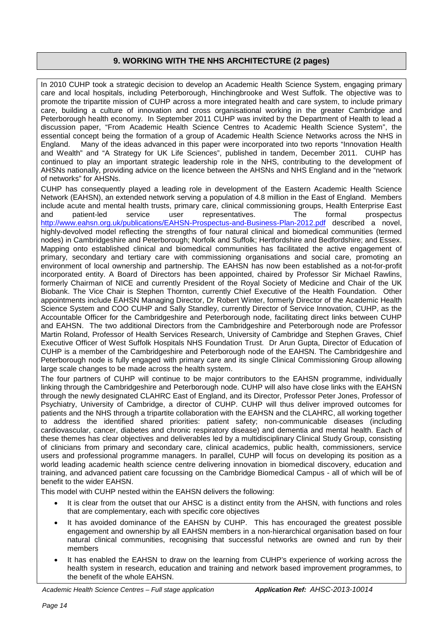### **9. WORKING WITH THE NHS ARCHITECTURE (2 pages)**

In 2010 CUHP took a strategic decision to develop an Academic Health Science System, engaging primary care and local hospitals, including Peterborough, Hinchingbrooke and West Suffolk. The objective was to promote the tripartite mission of CUHP across a more integrated health and care system, to include primary care, building a culture of innovation and cross organisational working in the greater Cambridge and Peterborough health economy. In September 2011 CUHP was invited by the Department of Health to lead a discussion paper, "From Academic Health Science Centres to Academic Health Science System", the essential concept being the formation of a group of Academic Health Science Networks across the NHS in England. Many of the ideas advanced in this paper were incorporated into two reports "Innovation Health and Wealth" and "A Strategy for UK Life Sciences", published in tandem, December 2011. CUHP has continued to play an important strategic leadership role in the NHS, contributing to the development of AHSNs nationally, providing advice on the licence between the AHSNs and NHS England and in the "network of networks" for AHSNs.

CUHP has consequently played a leading role in development of the Eastern Academic Health Science Network (EAHSN), an extended network serving a population of 4.8 million in the East of England. Members include acute and mental health trusts, primary care, clinical commissioning groups, Health Enterprise East and patient-led service user representatives. The formal prospectus <http://www.eahsn.org.uk/publications/EAHSN-Prospectus-and-Business-Plan-2012.pdf> described a novel, highly-devolved model reflecting the strengths of four natural clinical and biomedical communities (termed nodes) in Cambridgeshire and Peterborough; Norfolk and Suffolk; Hertfordshire and Bedfordshire; and Essex. Mapping onto established clinical and biomedical communities has facilitated the active engagement of primary, secondary and tertiary care with commissioning organisations and social care, promoting an environment of local ownership and partnership. The EAHSN has now been established as a not-for-profit incorporated entity. A Board of Directors has been appointed, chaired by Professor Sir Michael Rawlins, formerly Chairman of NICE and currently President of the Royal Society of Medicine and Chair of the UK Biobank. The Vice Chair is Stephen Thornton, currently Chief Executive of the Health Foundation. Other appointments include EAHSN Managing Director, Dr Robert Winter, formerly Director of the Academic Health Science System and COO CUHP and Sally Standley, currently Director of Service Innovation, CUHP, as the Accountable Officer for the Cambridgeshire and Peterborough node, facilitating direct links between CUHP and EAHSN. The two additional Directors from the Cambridgeshire and Peterborough node are Professor Martin Roland, Professor of Health Services Research, University of Cambridge and Stephen Graves, Chief Executive Officer of West Suffolk Hospitals NHS Foundation Trust. Dr Arun Gupta, Director of Education of CUHP is a member of the Cambridgeshire and Peterborough node of the EAHSN. The Cambridgeshire and Peterborough node is fully engaged with primary care and its single Clinical Commissioning Group allowing large scale changes to be made across the health system.

The four partners of CUHP will continue to be major contributors to the EAHSN programme, individually linking through the Cambridgeshire and Peterborough node. CUHP will also have close links with the EAHSN through the newly designated CLAHRC East of England, and its Director, Professor Peter Jones, Professor of Psychiatry, University of Cambridge, a director of CUHP. CUHP will thus deliver improved outcomes for patients and the NHS through a tripartite collaboration with the EAHSN and the CLAHRC, all working together to address the identified shared priorities: patient safety; non-communicable diseases (including cardiovascular, cancer, diabetes and chronic respiratory disease) and dementia and mental health. Each of these themes has clear objectives and deliverables led by a multidisciplinary Clinical Study Group, consisting of clinicians from primary and secondary care, clinical academics, public health, commissioners, service users and professional programme managers. In parallel, CUHP will focus on developing its position as a world leading academic health science centre delivering innovation in biomedical discovery, education and training, and advanced patient care focussing on the Cambridge Biomedical Campus - all of which will be of benefit to the wider EAHSN.

This model with CUHP nested within the EAHSN delivers the following:

- It is clear from the outset that our AHSC is a distinct entity from the AHSN, with functions and roles that are complementary, each with specific core objectives
- It has avoided dominance of the EAHSN by CUHP. This has encouraged the greatest possible engagement and ownership by all EAHSN members in a non-hierarchical organisation based on four natural clinical communities, recognising that successful networks are owned and run by their members
- It has enabled the EAHSN to draw on the learning from CUHP's experience of working across the health system in research, education and training and network based improvement programmes, to the benefit of the whole EAHSN.

*Academic Health Science Centres – Full stage application Application Ref: AHSC-2013-10014*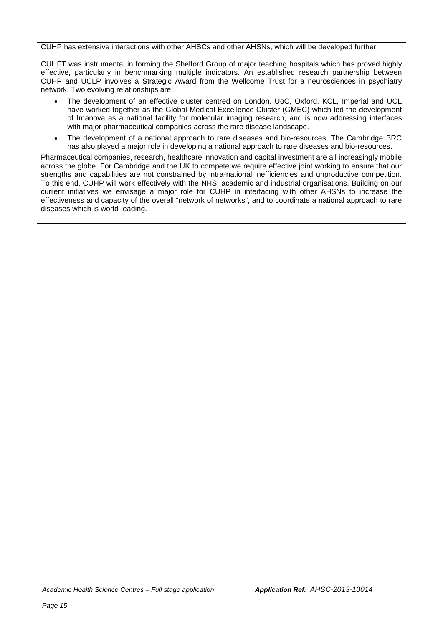CUHP has extensive interactions with other AHSCs and other AHSNs, which will be developed further.

CUHFT was instrumental in forming the Shelford Group of major teaching hospitals which has proved highly effective, particularly in benchmarking multiple indicators. An established research partnership between CUHP and UCLP involves a Strategic Award from the Wellcome Trust for a neurosciences in psychiatry network. Two evolving relationships are:

- The development of an effective cluster centred on London. UoC, Oxford, KCL, Imperial and UCL have worked together as the Global Medical Excellence Cluster (GMEC) which led the development of Imanova as a national facility for molecular imaging research, and is now addressing interfaces with major pharmaceutical companies across the rare disease landscape.
- The development of a national approach to rare diseases and bio-resources. The Cambridge BRC has also played a major role in developing a national approach to rare diseases and bio-resources.

Pharmaceutical companies, research, healthcare innovation and capital investment are all increasingly mobile across the globe. For Cambridge and the UK to compete we require effective joint working to ensure that our strengths and capabilities are not constrained by intra-national inefficiencies and unproductive competition. To this end, CUHP will work effectively with the NHS, academic and industrial organisations. Building on our current initiatives we envisage a major role for CUHP in interfacing with other AHSNs to increase the effectiveness and capacity of the overall "network of networks", and to coordinate a national approach to rare diseases which is world-leading.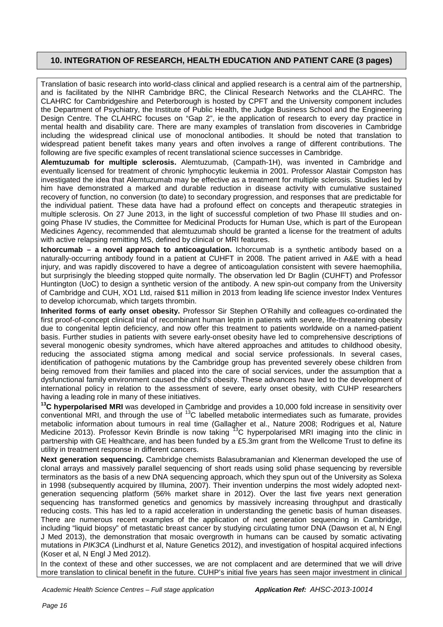### **10. INTEGRATION OF RESEARCH, HEALTH EDUCATION AND PATIENT CARE (3 pages)**

Translation of basic research into world-class clinical and applied research is a central aim of the partnership, and is facilitated by the NIHR Cambridge BRC, the Clinical Research Networks and the CLAHRC. The CLAHRC for Cambridgeshire and Peterborough is hosted by CPFT and the University component includes the Department of Psychiatry, the Institute of Public Health, the Judge Business School and the Engineering Design Centre. The CLAHRC focuses on "Gap 2", ie the application of research to every day practice in mental health and disability care. There are many examples of translation from discoveries in Cambridge including the widespread clinical use of monoclonal antibodies. It should be noted that translation to widespread patient benefit takes many years and often involves a range of different contributions. The following are five specific examples of recent translational science successes in Cambridge.

**Alemtuzumab for multiple sclerosis.** Alemtuzumab, (Campath-1H), was invented in Cambridge and eventually licensed for treatment of chronic lymphocytic leukemia in 2001. Professor Alastair Compston has investigated the idea that Alemtuzumab may be effective as a treatment for multiple sclerosis. Studies led by him have demonstrated a marked and durable reduction in disease activity with cumulative sustained recovery of function, no conversion (to date) to secondary progression, and responses that are predictable for the individual patient. These data have had a profound effect on concepts and therapeutic strategies in multiple sclerosis. On 27 June 2013, in the light of successful completion of two Phase III studies and ongoing Phase IV studies, the Committee for Medicinal Products for Human Use, which is part of the European Medicines Agency, recommended that alemtuzumab should be granted a license for the treatment of adults with active relapsing remitting MS, defined by clinical or MRI features.

**Ichorcumab – a novel approach to anticoagulation.** Ichorcumab is a synthetic antibody based on a naturally-occurring antibody found in a patient at CUHFT in 2008. The patient arrived in A&E with a head injury, and was rapidly discovered to have a degree of anticoagulation consistent with severe haemophilia, but surprisingly the bleeding stopped quite normally. The observation led Dr Baglin (CUHFT) and Professor Huntington (UoC) to design a synthetic version of the antibody. A new spin-out company from the University of Cambridge and CUH, XO1 Ltd, raised \$11 million in 2013 from leading life science investor Index Ventures to develop ichorcumab, which targets thrombin.

**Inherited forms of early onset obesity.** Professor Sir Stephen O'Rahilly and colleagues co-ordinated the first proof-of-concept clinical trial of recombinant human leptin in patients with severe, life-threatening obesity due to congenital leptin deficiency, and now offer this treatment to patients worldwide on a named-patient basis. Further studies in patients with severe early-onset obesity have led to comprehensive descriptions of several monogenic obesity syndromes, which have altered approaches and attitudes to childhood obesity, reducing the associated stigma among medical and social service professionals. In several cases, identification of pathogenic mutations by the Cambridge group has prevented severely obese children from being removed from their families and placed into the care of social services, under the assumption that a dysfunctional family environment caused the child's obesity. These advances have led to the development of international policy in relation to the assessment of severe, early onset obesity, with CUHP researchers having a leading role in many of these initiatives.

**13C hyperpolarised MRI** was developed in Cambridge and provides a 10,000 fold increase in sensitivity over conventional MRI, and through the use of 13C labelled metabolic intermediates such as fumarate, provides metabolic information about tumours in real time (Gallagher et al., Nature 2008; Rodrigues et al, Nature Medicine 2013). Professor Kevin Brindle is now taking 13C hyperpolarised MRI imaging into the clinic in partnership with GE Healthcare, and has been funded by a £5.3m grant from the Wellcome Trust to define its utility in treatment response in different cancers.

**Next generation sequencing.** Cambridge chemists Balasubramanian and Klenerman developed the use of clonal arrays and massively parallel sequencing of short reads using solid phase sequencing by reversible terminators as the basis of a new DNA sequencing approach, which they spun out of the University as Solexa in 1998 (subsequently acquired by Illumina, 2007). Their invention underpins the most widely adopted nextgeneration sequencing platform (56% market share in 2012). Over the last five years next generation sequencing has transformed genetics and genomics by massively increasing throughput and drastically reducing costs. This has led to a rapid acceleration in understanding the genetic basis of human diseases. There are numerous recent examples of the application of next generation sequencing in Cambridge, including "liquid biopsy" of metastatic breast cancer by studying circulating tumor DNA (Dawson et al, N Engl J Med 2013), the demonstration that mosaic overgrowth in humans can be caused by somatic activating mutations in *PIK3CA* (Lindhurst et al, Nature Genetics 2012), and investigation of hospital acquired infections (Koser et al, N Engl J Med 2012).

In the context of these and other successes, we are not complacent and are determined that we will drive more translation to clinical benefit in the future. CUHP's initial five years has seen major investment in clinical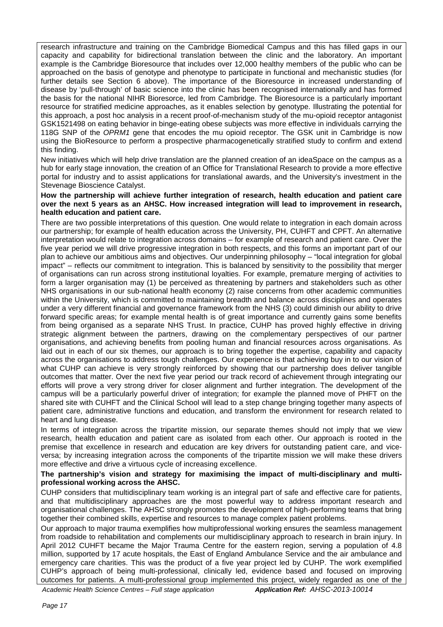research infrastructure and training on the Cambridge Biomedical Campus and this has filled gaps in our capacity and capability for bidirectional translation between the clinic and the laboratory. An important example is the Cambridge Bioresource that includes over 12,000 healthy members of the public who can be approached on the basis of genotype and phenotype to participate in functional and mechanistic studies (for further details see Section 6 above). The importance of the Bioresource in increased understanding of disease by 'pull-through' of basic science into the clinic has been recognised internationally and has formed the basis for the national NIHR Bioresorce, led from Cambridge. The Bioresource is a particularly important resource for stratified medicine approaches, as it enables selection by genotype. Illustrating the potential for this approach, a post hoc analysis in a recent proof-of-mechanism study of the mu-opioid receptor antagonist GSK1521498 on eating behavior in binge-eating obese subjects was more effective in individuals carrying the 118G SNP of the *OPRM1* gene that encodes the mu opioid receptor. The GSK unit in Cambridge is now using the BioResource to perform a prospective pharmacogenetically stratified study to confirm and extend this finding.

New initiatives which will help drive translation are the planned creation of an ideaSpace on the campus as a hub for early stage innovation, the creation of an Office for Translational Research to provide a more effective portal for industry and to assist applications for translational awards, and the University's investment in the Stevenage Bioscience Catalyst.

#### **How the partnership will achieve further integration of research, health education and patient care over the next 5 years as an AHSC. How increased integration will lead to improvement in research, health education and patient care.**

There are two possible interpretations of this question. One would relate to integration in each domain across our partnership; for example of health education across the University, PH, CUHFT and CPFT. An alternative interpretation would relate to integration across domains – for example of research and patient care. Over the five year period we will drive progressive integration in both respects, and this forms an important part of our plan to achieve our ambitious aims and objectives. Our underpinning philosophy – "local integration for global impact" – reflects our commitment to integration. This is balanced by sensitivity to the possibility that merger of organisations can run across strong institutional loyalties. For example, premature merging of activities to form a larger organisation may (1) be perceived as threatening by partners and stakeholders such as other NHS organisations in our sub-national health economy (2) raise concerns from other academic communities within the University, which is committed to maintaining breadth and balance across disciplines and operates under a very different financial and governance framework from the NHS (3) could diminish our ability to drive forward specific areas; for example mental health is of great importance and currently gains some benefits from being organised as a separate NHS Trust. In practice, CUHP has proved highly effective in driving strategic alignment between the partners, drawing on the complementary perspectives of our partner organisations, and achieving benefits from pooling human and financial resources across organisations. As laid out in each of our six themes, our approach is to bring together the expertise, capability and capacity across the organisations to address tough challenges. Our experience is that achieving buy in to our vision of what CUHP can achieve is very strongly reinforced by showing that our partnership does deliver tangible outcomes that matter. Over the next five year period our track record of achievement through integrating our efforts will prove a very strong driver for closer alignment and further integration. The development of the campus will be a particularly powerful driver of integration; for example the planned move of PHFT on the shared site with CUHFT and the Clinical School will lead to a step change bringing together many aspects of patient care, administrative functions and education, and transform the environment for research related to heart and lung disease.

In terms of integration across the tripartite mission, our separate themes should not imply that we view research, health education and patient care as isolated from each other. Our approach is rooted in the premise that excellence in research and education are key drivers for outstanding patient care, and viceversa; by increasing integration across the components of the tripartite mission we will make these drivers more effective and drive a virtuous cycle of increasing excellence.

#### **The partnership's vision and strategy for maximising the impact of multi-disciplinary and multiprofessional working across the AHSC.**

CUHP considers that multidisciplinary team working is an integral part of safe and effective care for patients, and that multidisciplinary approaches are the most powerful way to address important research and organisational challenges. The AHSC strongly promotes the development of high-performing teams that bring together their combined skills, expertise and resources to manage complex patient problems.

Our approach to major trauma exemplifies how multiprofessional working ensures the seamless management from roadside to rehabilitation and complements our multidisciplinary approach to research in brain injury. In April 2012 CUHFT became the Major Trauma Centre for the eastern region, serving a population of 4.8 million, supported by 17 acute hospitals, the East of England Ambulance Service and the air ambulance and emergency care charities. This was the product of a five year project led by CUHP. The work exemplified CUHP's approach of being multi-professional, clinically led, evidence based and focused on improving outcomes for patients. A multi-professional group implemented this project, widely regarded as one of the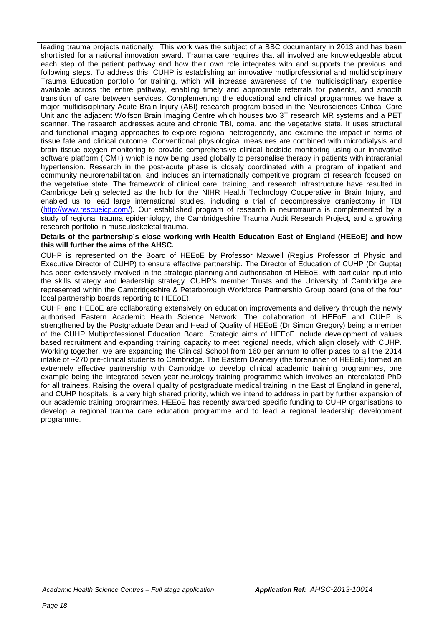leading trauma projects nationally. This work was the subject of a BBC documentary in 2013 and has been shortlisted for a national innovation award. Trauma care requires that all involved are knowledgeable about each step of the patient pathway and how their own role integrates with and supports the previous and following steps. To address this, CUHP is establishing an innovative mutliprofessional and multidisciplinary Trauma Education portfolio for training, which will increase awareness of the multidisciplinary expertise available across the entire pathway, enabling timely and appropriate referrals for patients, and smooth transition of care between services. Complementing the educational and clinical programmes we have a major multidisciplinary Acute Brain Injury (ABI) research program based in the Neurosciences Critical Care Unit and the adjacent Wolfson Brain Imaging Centre which houses two 3T research MR systems and a PET scanner. The research addresses acute and chronic TBI, coma, and the vegetative state. It uses structural and functional imaging approaches to explore regional heterogeneity, and examine the impact in terms of tissue fate and clinical outcome. Conventional physiological measures are combined with microdialysis and brain tissue oxygen monitoring to provide comprehensive clinical bedside monitoring using our innovative software platform (ICM+) which is now being used globally to personalise therapy in patients with intracranial hypertension. Research in the post-acute phase is closely coordinated with a program of inpatient and community neurorehabilitation, and includes an internationally competitive program of research focused on the vegetative state. The framework of clinical care, training, and research infrastructure have resulted in Cambridge being selected as the hub for the NIHR Health Technology Cooperative in Brain Injury, and enabled us to lead large international studies, including a trial of decompressive craniectomy in TBI [\(http://www.rescueicp.com/\)](http://www.rescueicp.com/). Our established program of research in neurotrauma is complemented by a study of regional trauma epidemiology, the Cambridgeshire Trauma Audit Research Project, and a growing research portfolio in musculoskeletal trauma.

#### **Details of the partnership's close working with Health Education East of England (HEEoE) and how this will further the aims of the AHSC.**

CUHP is represented on the Board of HEEoE by Professor Maxwell (Regius Professor of Physic and Executive Director of CUHP) to ensure effective partnership. The Director of Education of CUHP (Dr Gupta) has been extensively involved in the strategic planning and authorisation of HEEoE, with particular input into the skills strategy and leadership strategy. CUHP's member Trusts and the University of Cambridge are represented within the Cambridgeshire & Peterborough Workforce Partnership Group board (one of the four local partnership boards reporting to HEEoE).

CUHP and HEEoE are collaborating extensively on education improvements and delivery through the newly authorised Eastern Academic Health Science Network. The collaboration of HEEoE and CUHP is strengthened by the Postgraduate Dean and Head of Quality of HEEoE (Dr Simon Gregory) being a member of the CUHP Multiprofessional Education Board. Strategic aims of HEEoE include development of values based recruitment and expanding training capacity to meet regional needs, which align closely with CUHP. Working together, we are expanding the Clinical School from 160 per annum to offer places to all the 2014 intake of ~270 pre-clinical students to Cambridge. The Eastern Deanery (the forerunner of HEEoE) formed an extremely effective partnership with Cambridge to develop clinical academic training programmes, one example being the integrated seven year neurology training programme which involves an intercalated PhD for all trainees. Raising the overall quality of postgraduate medical training in the East of England in general, and CUHP hospitals, is a very high shared priority, which we intend to address in part by further expansion of our academic training programmes. HEEoE has recently awarded specific funding to CUHP organisations to develop a regional trauma care education programme and to lead a regional leadership development programme.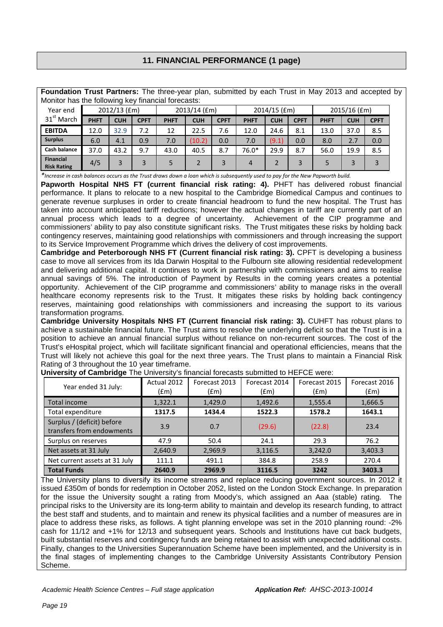### **11. FINANCIAL PERFORMANCE (1 page)**

|          |                                                    |                | <b>Foundation Trust Partners:</b> The three-year plan, submitted by each Trust in May 2013 and accepted by |                |  |
|----------|----------------------------------------------------|----------------|------------------------------------------------------------------------------------------------------------|----------------|--|
|          | Monitor has the following key financial forecasts: |                |                                                                                                            |                |  |
| Year end | $2012/13$ (fm)                                     | $2013/14$ (fm) | $2014/15$ (fm)                                                                                             | $2015/16$ (fm) |  |

| Year end<br>$31st$ March               | 2012/13 (£m) |            | 2013/14 (£m) |             | 2014/15 (£m) |             | 2015/16 (£m) |            |             |             |            |             |
|----------------------------------------|--------------|------------|--------------|-------------|--------------|-------------|--------------|------------|-------------|-------------|------------|-------------|
|                                        | <b>PHFT</b>  | <b>CUH</b> | <b>CPFT</b>  | <b>PHFT</b> | <b>CUH</b>   | <b>CPFT</b> | <b>PHFT</b>  | <b>CUH</b> | <b>CPFT</b> | <b>PHFT</b> | <b>CUH</b> | <b>CPFT</b> |
| <b>EBITDA</b>                          | 12.0         | 32.9       | 7.2          | 12          | 22.5         | 7.6         | 12.0         | 24.6       | 8.1         | 13.0        | 37.0       | 8.5         |
| <b>Surplus</b>                         | 6.0          | 4.1        | 0.9          | 7.0         | (10.2)       | 0.0         | 7.0          | (9.1)      | 0.0         | 8.0         | 2.7        | 0.0         |
| <b>Cash balance</b>                    | 37.0         | 43.2       | 9.7          | 43.0        | 40.5         | 8.7         | 76.0*        | 29.9       | 8.7         | 56.0        | 19.9       | 8.5         |
| <b>Financial</b><br><b>Risk Rating</b> | 4/5          |            |              | 5.          |              |             | 4            |            |             |             |            |             |

*\*Increase in cash balances occurs as the Trust draws down a loan which is subsequently used to pay for the New Papworth build.*

**Papworth Hospital NHS FT (current financial risk rating: 4).** PHFT has delivered robust financial performance. It plans to relocate to a new hospital to the Cambridge Biomedical Campus and continues to generate revenue surpluses in order to create financial headroom to fund the new hospital. The Trust has taken into account anticipated tariff reductions; however the actual changes in tariff are currently part of an annual process which leads to a degree of uncertainty. Achievement of the CIP programme and commissioners' ability to pay also constitute significant risks. The Trust mitigates these risks by holding back contingency reserves, maintaining good relationships with commissioners and through increasing the support to its Service Improvement Programme which drives the delivery of cost improvements.

**Cambridge and Peterborough NHS FT (Current financial risk rating: 3).** CPFT is developing a business case to move all services from its Ida Darwin Hospital to the Fulbourn site allowing residential redevelopment and delivering additional capital. It continues to work in partnership with commissioners and aims to realise annual savings of 5%. The introduction of Payment by Results in the coming years creates a potential opportunity. Achievement of the CIP programme and commissioners' ability to manage risks in the overall healthcare economy represents risk to the Trust. It mitigates these risks by holding back contingency reserves, maintaining good relationships with commissioners and increasing the support to its various transformation programs.

**Cambridge University Hospitals NHS FT (Current financial risk rating: 3).** CUHFT has robust plans to achieve a sustainable financial future. The Trust aims to resolve the underlying deficit so that the Trust is in a position to achieve an annual financial surplus without reliance on non-recurrent sources. The cost of the Trust's eHospital project, which will facilitate significant financial and operational efficiencies, means that the Trust will likely not achieve this goal for the next three years. The Trust plans to maintain a Financial Risk Rating of 3 throughout the 10 year timeframe.

| Year ended 31 July:                                     | Actual 2012<br>f(m) | Forecast 2013<br>(fm) | Forecast 2014<br>(fm) | Forecast 2015<br>(fm) | Forecast 2016<br>(fm) |
|---------------------------------------------------------|---------------------|-----------------------|-----------------------|-----------------------|-----------------------|
| Total income                                            | 1,322.1             | 1,429.0               | 1,492.6               | 1,555.4               | 1,666.5               |
| Total expenditure                                       | 1317.5              | 1434.4                | 1522.3                | 1578.2                | 1643.1                |
| Surplus / (deficit) before<br>transfers from endowments | 3.9                 | 0.7                   | (29.6)                | (22.8)                | 23.4                  |
| Surplus on reserves                                     | 47.9                | 50.4                  | 24.1                  | 29.3                  | 76.2                  |
| Net assets at 31 July                                   | 2,640.9             | 2,969.9               | 3,116.5               | 3,242.0               | 3,403.3               |
| Net current assets at 31 July                           | 111.1               | 491.1                 | 384.8                 | 258.9                 | 270.4                 |
| <b>Total Funds</b>                                      | 2640.9              | 2969.9                | 3116.5                | 3242                  | 3403.3                |

**University of Cambridge** The University's financial forecasts submitted to HEFCE were:

The University plans to diversify its income streams and replace reducing government sources. In 2012 it issued £350m of bonds for redemption in October 2052, listed on the London Stock Exchange. In preparation for the issue the University sought a rating from Moody's, which assigned an Aaa (stable) rating. The principal risks to the University are its long-term ability to maintain and develop its research funding, to attract the best staff and students, and to maintain and renew its physical facilities and a number of measures are in place to address these risks, as follows. A tight planning envelope was set in the 2010 planning round: -2% cash for 11/12 and +1% for 12/13 and subsequent years. Schools and Institutions have cut back budgets, built substantial reserves and contingency funds are being retained to assist with unexpected additional costs. Finally, changes to the Universities Superannuation Scheme have been implemented, and the University is in the final stages of implementing changes to the Cambridge University Assistants Contributory Pension Scheme.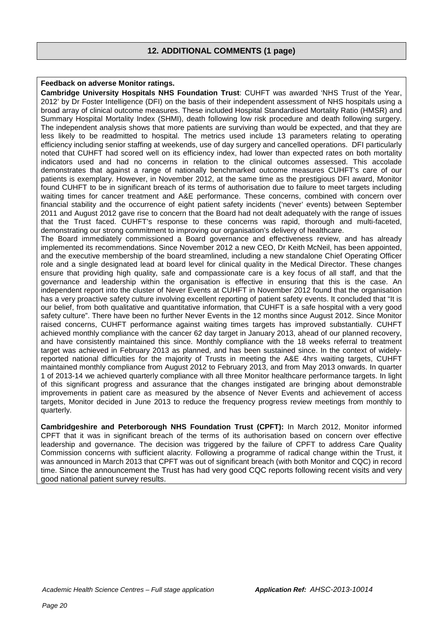### **12. ADDITIONAL COMMENTS (1 page)**

#### **Feedback on adverse Monitor ratings.**

**Cambridge University Hospitals NHS Foundation Trust**: CUHFT was awarded 'NHS Trust of the Year, 2012' by Dr Foster Intelligence (DFI) on the basis of their independent assessment of NHS hospitals using a broad array of clinical outcome measures. These included Hospital Standardised Mortality Ratio (HMSR) and Summary Hospital Mortality Index (SHMI), death following low risk procedure and death following surgery. The independent analysis shows that more patients are surviving than would be expected, and that they are less likely to be readmitted to hospital. The metrics used include 13 parameters relating to operating efficiency including senior staffing at weekends, use of day surgery and cancelled operations. DFI particularly noted that CUHFT had scored well on its efficiency index, had lower than expected rates on both mortality indicators used and had no concerns in relation to the clinical outcomes assessed. This accolade demonstrates that against a range of nationally benchmarked outcome measures CUHFT's care of our patients is exemplary. However, in November 2012, at the same time as the prestigious DFI award, Monitor found CUHFT to be in significant breach of its terms of authorisation due to failure to meet targets including waiting times for cancer treatment and A&E performance. These concerns, combined with concern over financial stability and the occurrence of eight patient safety incidents ('never' events) between September 2011 and August 2012 gave rise to concern that the Board had not dealt adequately with the range of issues that the Trust faced. CUHFT's response to these concerns was rapid, thorough and multi-faceted, demonstrating our strong commitment to improving our organisation's delivery of healthcare.

The Board immediately commissioned a Board governance and effectiveness review, and has already implemented its recommendations. Since November 2012 a new CEO, Dr Keith McNeil, has been appointed, and the executive membership of the board streamlined, including a new standalone Chief Operating Officer role and a single designated lead at board level for clinical quality in the Medical Director. These changes ensure that providing high quality, safe and compassionate care is a key focus of all staff, and that the governance and leadership within the organisation is effective in ensuring that this is the case. An independent report into the cluster of Never Events at CUHFT in November 2012 found that the organisation has a very proactive safety culture involving excellent reporting of patient safety events. It concluded that "It is our belief, from both qualitative and quantitative information, that CUHFT is a safe hospital with a very good safety culture". There have been no further Never Events in the 12 months since August 2012. Since Monitor raised concerns, CUHFT performance against waiting times targets has improved substantially. CUHFT achieved monthly compliance with the cancer 62 day target in January 2013, ahead of our planned recovery, and have consistently maintained this since. Monthly compliance with the 18 weeks referral to treatment target was achieved in February 2013 as planned, and has been sustained since. In the context of widelyreported national difficulties for the majority of Trusts in meeting the A&E 4hrs waiting targets, CUHFT maintained monthly compliance from August 2012 to February 2013, and from May 2013 onwards. In quarter 1 of 2013-14 we achieved quarterly compliance with all three Monitor healthcare performance targets. In light of this significant progress and assurance that the changes instigated are bringing about demonstrable improvements in patient care as measured by the absence of Never Events and achievement of access targets, Monitor decided in June 2013 to reduce the frequency progress review meetings from monthly to quarterly.

**Cambridgeshire and Peterborough NHS Foundation Trust (CPFT):** In March 2012, Monitor informed CPFT that it was in significant breach of the terms of its authorisation based on concern over effective leadership and governance. The decision was triggered by the failure of CPFT to address Care Quality Commission concerns with sufficient alacrity. Following a programme of radical change within the Trust, it was announced in March 2013 that CPFT was out of significant breach (with both Monitor and CQC) in record time. Since the announcement the Trust has had very good CQC reports following recent visits and very good national patient survey results.